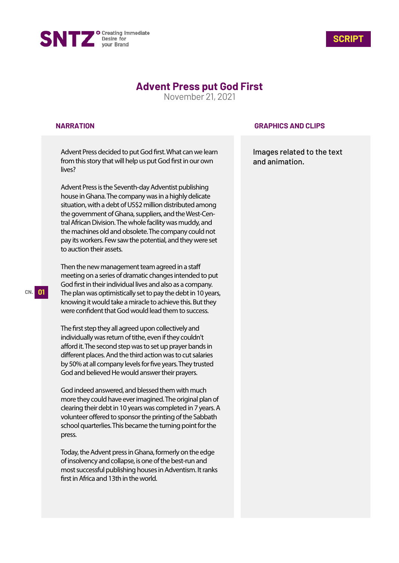



# **Advent Press put God First**

November 21, 2021

#### **NARRATION**

Advent Press decided to put God first. What can we learn from this story that will help us put God first in our own lives?

Advent Press is the Seventh-day Adventist publishing house in Ghana. The company was in a highly delicate situation, with a debt of US\$2 million distributed among the government of Ghana, suppliers, and the West-Central African Division. The whole facility was muddy, and the machines old and obsolete. The company could not pay its workers. Few saw the potential, and they were set to auction their assets.

Then the new management team agreed in a staff meeting on a series of dramatic changes intended to put God first in their individual lives and also as a company. The plan was optimistically set to pay the debt in 10 years, knowing it would take a miracle to achieve this. But they were confident that God would lead them to success.

The first step they all agreed upon collectively and individually was return of tithe, even if they couldn't afford it. The second step was to set up prayer bands in different places. And the third action was to cut salaries by 50% at all company levels for five years. They trusted God and believed He would answer their prayers.

God indeed answered, and blessed them with much more they could have ever imagined. The original plan of clearing their debt in 10 years was completed in 7 years. A volunteer offered to sponsor the printing of the Sabbath school quarterlies. This became the turning point for the press.

Today, the Advent press in Ghana, formerly on the edge of insolvency and collapse, is one of the best-run and most successful publishing houses in Adventism. It ranks first in Africa and 13th in the world.

### **GRAPHICS AND CLIPS**

Images related to the text and animation.